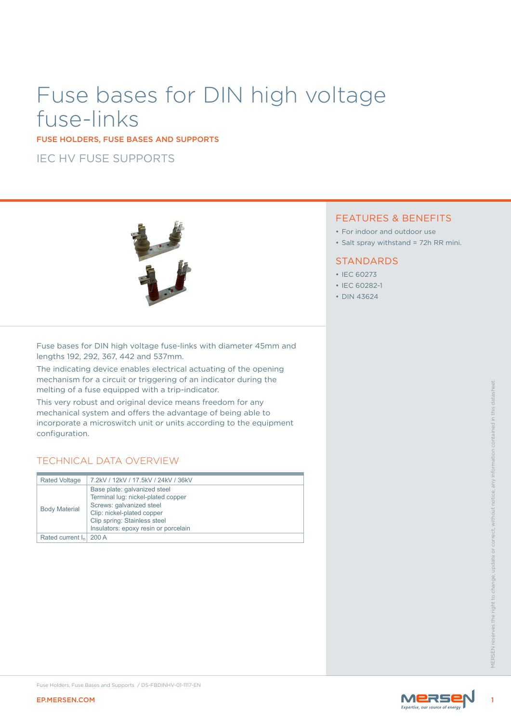# Fuse bases for DIN high voltage fuse-links

FUSE HOLDERS, FUSE BASES AND SUPPORTS

IEC HV FUSE SUPPORTS



## FEATURES & BENEFITS

- For indoor and outdoor use
- Salt spray withstand = 72h RR mini.

#### **STANDARDS**

- IEC 60273
- IEC 60282-1
- DIN 43624

Fuse bases for DIN high voltage fuse-links with diameter 45mm and lengths 192, 292, 367, 442 and 537mm.

The indicating device enables electrical actuating of the opening mechanism for a circuit or triggering of an indicator during the melting of a fuse equipped with a trip-indicator.

# TECHNICAL DATA OVERVIEW

| <b>EP.MERSEN.COM</b> | Fuse Holders, Fuse Bases and Supports / DS-FBDINHV-01-1117-EN                                                                                                                                                                                        | MERSE |                                          |
|----------------------|------------------------------------------------------------------------------------------------------------------------------------------------------------------------------------------------------------------------------------------------------|-------|------------------------------------------|
| Rated current $I_n$  | 200 A                                                                                                                                                                                                                                                |       | right to change<br>the.<br><b>MFRSFN</b> |
| <b>Body Material</b> | Base plate: galvanized steel<br>Terminal lug: nickel-plated copper<br>Screws: galvanized steel<br>Clip: nickel-plated copper<br>Clip spring: Stainless steel<br>Insulators: epoxy resin or porcelain                                                 |       | without                                  |
| <b>Rated Voltage</b> | <b>TECHNICAL DATA OVERVIEW</b><br>7.2kV / 12kV / 17.5kV / 24kV / 36kV                                                                                                                                                                                |       |                                          |
| configuration.       | melting of a fuse equipped with a trip-indicator.<br>This very robust and original device means freedom for any<br>mechanical system and offers the advantage of being able to<br>incorporate a microswitch unit or units according to the equipment |       | in this datas                            |
|                      | mechanism for a circuit or triggering or an indicator during the                                                                                                                                                                                     |       |                                          |



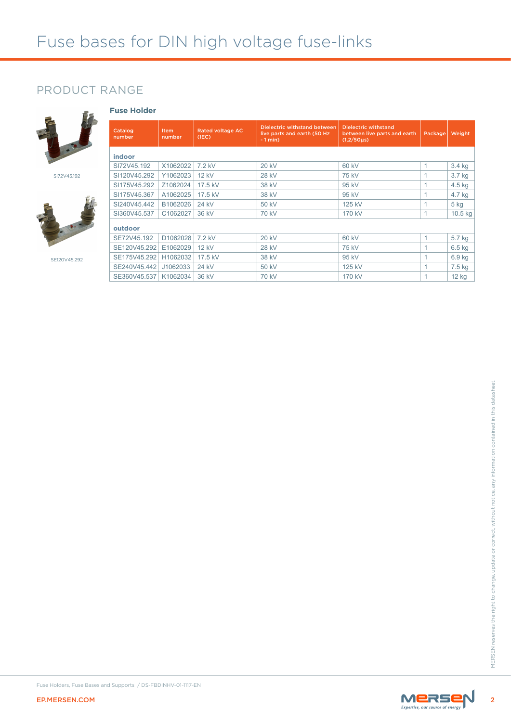# PRODUCT RANGE

**Fuse Holder**



SI72V45.192



SE120V45.292

| Catalog<br>number | <b>Item</b><br>number | <b>Rated voltage AC</b><br>(IEC) | <b>Dielectric withstand between</b><br>live parts and earth (50 Hz)<br>$-1$ min $)$ | <b>Dielectric withstand</b><br>between live parts and earth<br>$(1,2/50 \mu s)$ | Package | Weight            |
|-------------------|-----------------------|----------------------------------|-------------------------------------------------------------------------------------|---------------------------------------------------------------------------------|---------|-------------------|
| indoor            |                       |                                  |                                                                                     |                                                                                 |         |                   |
| SI72V45.192       | X1062022              | 7.2 kV                           | <b>20 kV</b>                                                                        | 60 kV                                                                           | 1       | 3.4 kg            |
| SI120V45.292      | Y1062023              | 12 kV                            | 28 kV                                                                               | 75 kV                                                                           | 1       | 3.7 kg            |
| SI175V45.292      | Z1062024              | 17.5 kV                          | 38 kV                                                                               | 95 kV                                                                           | 1       | 4.5 kg            |
| SI175V45.367      | A1062025              | 17.5 kV                          | 38 kV                                                                               | 95 kV                                                                           | 1       | 4.7 kg            |
| SI240V45.442      | B1062026              | 24 kV                            | 50 kV                                                                               | 125 kV                                                                          | 1       | $5$ kg            |
| SI360V45.537      | C1062027              | 36 kV                            | 70 kV                                                                               | 170 kV                                                                          | 1       | $10.5$ kg         |
| outdoor           |                       |                                  |                                                                                     |                                                                                 |         |                   |
| SE72V45.192       | D <sub>1062028</sub>  | 7.2 kV                           | 20 kV                                                                               | 60 kV                                                                           | 1       | 5.7 kg            |
| SE120V45.292      | E1062029              | 12 kV                            | 28 kV                                                                               | 75 kV                                                                           | 1       | $6.5$ kg          |
| SE175V45.292      | H1062032              | 17.5 kV                          | 38 kV                                                                               | 95 kV                                                                           | 1       | 6.9 <sub>kg</sub> |
| SE240V45.442      | J1062033              | 24 kV                            | 50 kV                                                                               | 125 kV                                                                          | 1       | 7.5 kg            |
| SE360V45.537      | K1062034              | 36 kV                            | 70 kV                                                                               | 170 kV                                                                          | 1       | 12 <sub>kg</sub>  |



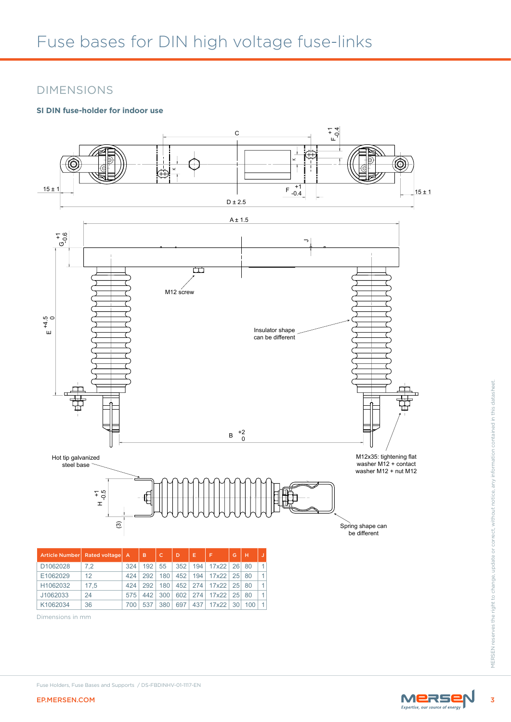# DIMENSIONS

## **SI DIN fuse-holder for indoor use**



|          | Article Number Rated voltage A |     | B   |     | D   | Е   | F     | G               | н   |                      |
|----------|--------------------------------|-----|-----|-----|-----|-----|-------|-----------------|-----|----------------------|
| D1062028 | 7.2                            | 324 | 192 | 55  | 352 | 194 | 17x22 | 26              | 80  | 1                    |
| E1062029 | 12                             | 424 | 292 | 180 | 452 | 194 | 17x22 | 25              | 80  | 1                    |
| H1062032 | 17.5                           | 424 | 292 | 180 | 452 | 274 | 17x22 | 25              | 80  | $\mathbf{1}$         |
| J1062033 | 24                             | 575 | 442 | 300 | 602 | 274 | 17x22 | 25              | 80  | 1                    |
| K1062034 | 36                             | 700 | 537 | 380 | 697 | 437 | 17x22 | 30 <sup>1</sup> | 100 | $\blacktriangleleft$ |

Dimensions in mm